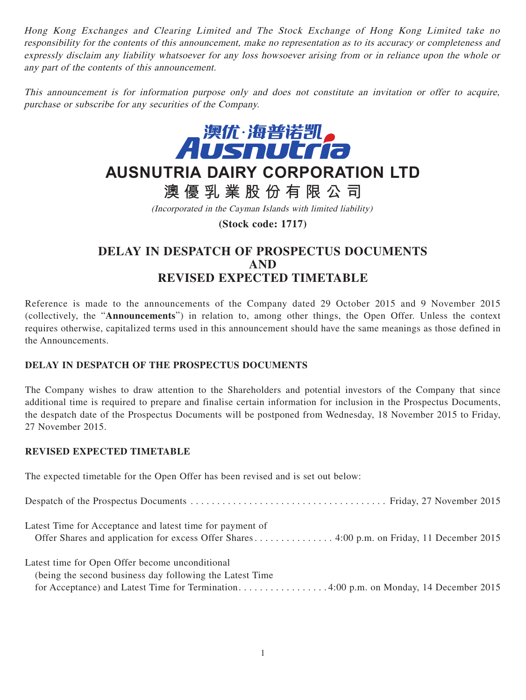Hong Kong Exchanges and Clearing Limited and The Stock Exchange of Hong Kong Limited take no responsibility for the contents of this announcement, make no representation as to its accuracy or completeness and expressly disclaim any liability whatsoever for any loss howsoever arising from or in reliance upon the whole or any part of the contents of this announcement.

This announcement is for information purpose only and does not constitute an invitation or offer to acquire, purchase or subscribe for any securities of the Company.



## **AUSNUTRIA DAIRY CORPORATION LTD**

**澳優乳業股份有限公司**

(Incorporated in the Cayman Islands with limited liability)

**(Stock code: 1717)**

## **DELAY IN DESPATCH OF PROSPECTUS DOCUMENTS AND REVISED EXPECTED TIMETABLE**

Reference is made to the announcements of the Company dated 29 October 2015 and 9 November 2015 (collectively, the "**Announcements**") in relation to, among other things, the Open Offer. Unless the context requires otherwise, capitalized terms used in this announcement should have the same meanings as those defined in the Announcements.

## **DELAY IN DESPATCH OF THE PROSPECTUS DOCUMENTS**

The Company wishes to draw attention to the Shareholders and potential investors of the Company that since additional time is required to prepare and finalise certain information for inclusion in the Prospectus Documents, the despatch date of the Prospectus Documents will be postponed from Wednesday, 18 November 2015 to Friday, 27 November 2015.

## **REVISED EXPECTED TIMETABLE**

The expected timetable for the Open Offer has been revised and is set out below:

| Latest Time for Acceptance and latest time for payment of<br>Offer Shares and application for excess Offer Shares 4:00 p.m. on Friday, 11 December 2015 |
|---------------------------------------------------------------------------------------------------------------------------------------------------------|
| Latest time for Open Offer become unconditional                                                                                                         |
| (being the second business day following the Latest Time)                                                                                               |
|                                                                                                                                                         |